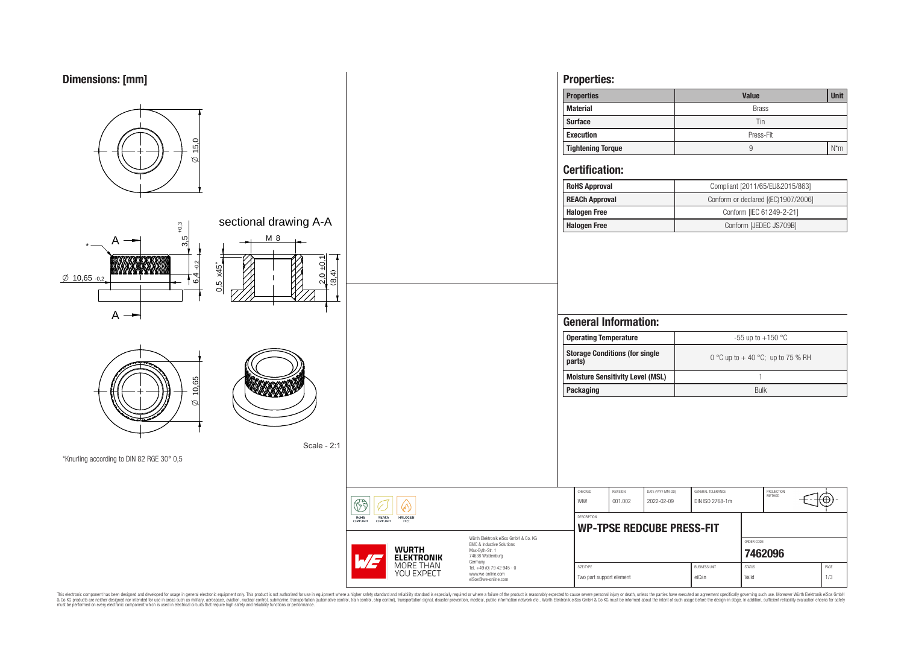



This electronic component has been designed and developed for usage in general electronic equipment only. This product is not authorized for subserved requipment where a higher selection equipment where a higher selection

eiSos@we-online.com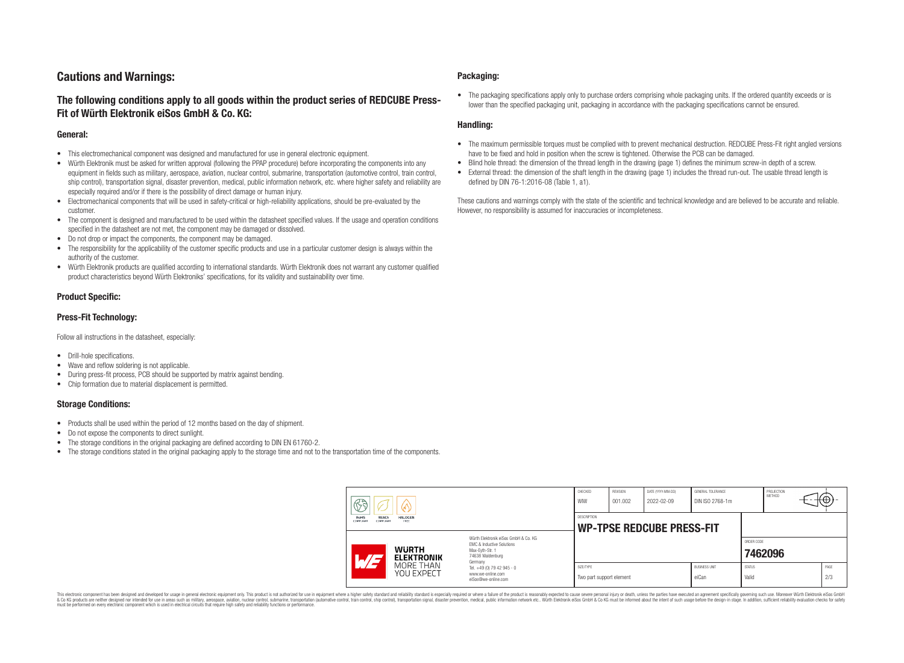# **Cautions and Warnings:**

# **The following conditions apply to all goods within the product series of REDCUBE Press-Fit of Würth Elektronik eiSos GmbH & Co. KG:**

### **General:**

- This electromechanical component was designed and manufactured for use in general electronic equipment.
- Würth Elektronik must be asked for written approval (following the PPAP procedure) before incorporating the components into any equipment in fields such as military, aerospace, aviation, nuclear control, submarine, transportation (automotive control, train control, ship control), transportation signal, disaster prevention, medical, public information network, etc. where higher safety and reliability are especially required and/or if there is the possibility of direct damage or human injury.
- Electromechanical components that will be used in safety-critical or high-reliability applications, should be pre-evaluated by the customer.
- The component is designed and manufactured to be used within the datasheet specified values. If the usage and operation conditions specified in the datasheet are not met, the component may be damaged or dissolved.
- Do not drop or impact the components, the component may be damaged.
- The responsibility for the applicability of the customer specific products and use in a particular customer design is always within the authority of the customer.
- Würth Elektronik products are qualified according to international standards. Würth Elektronik does not warrant any customer qualified product characteristics beyond Würth Elektroniks' specifications, for its validity and sustainability over time.

### **Product Specific:**

### **Press-Fit Technology:**

Follow all instructions in the datasheet, especially:

- Drill-hole specifications.
- Wave and reflow soldering is not applicable.
- During press-fit process, PCB should be supported by matrix against bending.
- Chip formation due to material displacement is permitted.

### **Storage Conditions:**

- Products shall be used within the period of 12 months based on the day of shipment.
- Do not expose the components to direct sunlight.
- The storage conditions in the original packaging are defined according to DIN EN 61760-2.
- The storage conditions stated in the original packaging apply to the storage time and not to the transportation time of the components.

### **Packaging:**

• The packaging specifications apply only to purchase orders comprising whole packaging units. If the ordered quantity exceeds or is lower than the specified packaging unit, packaging in accordance with the packaging specifications cannot be ensured.

### **Handling:**

- The maximum permissible torques must be complied with to prevent mechanical destruction. REDCUBE Press-Fit right angled versions have to be fixed and hold in position when the screw is tightened. Otherwise the PCB can be damaged.
- Blind hole thread: the dimension of the thread length in the drawing (page 1) defines the minimum screw-in depth of a screw.
- External thread: the dimension of the shaft length in the drawing (page 1) includes the thread run-out. The usable thread length is defined by DIN 76-1:2016-08 (Table 1, a1).

These cautions and warnings comply with the state of the scientific and technical knowledge and are believed to be accurate and reliable. However, no responsibility is assumed for inaccuracies or incompleteness.

| $\circledS$                                                              |                                                                                                                     | CHECKED<br>WIW                        | <b>REVISION</b><br>001.002                             | DATE (YYYY-MM-DD)<br>2022-02-09 | GENERAL TOLERANCE<br>DIN ISO 2768-1m |                        | PROJECTION<br>METHOD |  | ₩Ψ          |
|--------------------------------------------------------------------------|---------------------------------------------------------------------------------------------------------------------|---------------------------------------|--------------------------------------------------------|---------------------------------|--------------------------------------|------------------------|----------------------|--|-------------|
| RoHS<br><b>REACh</b><br><b>HALOGEN</b><br>COMPLIANT<br>FREE<br>COMPLIANT |                                                                                                                     |                                       | <b>DESCRIPTION</b><br><b>WP-TPSE REDCUBE PRESS-FIT</b> |                                 |                                      |                        |                      |  |             |
| <b>WURTH</b><br>$\sqrt{H}$<br><b>ELEKTRONIK</b>                          | Würth Elektronik eiSos GmbH & Co. KG<br>EMC & Inductive Solutions<br>Max-Evth-Str. 1<br>74638 Waldenburg<br>Germany |                                       |                                                        |                                 |                                      | ORDER CODE             | 7462096              |  |             |
| MORE THAN<br>YOU EXPECT                                                  | Tel. +49 (0) 79 42 945 - 0<br>www.we-online.com<br>eiSos@we-online.com                                              | SIZE/TYPE<br>Two part support element |                                                        |                                 | <b>BUSINESS UNIT</b><br>eiCan        | <b>STATUS</b><br>Valid |                      |  | PAGE<br>2/3 |

This electronic component has been designed and developed for usage in general electronic equipment only. This product is not authorized for use in equipment where a higher safety standard and reliability standard si espec & Ook product a label and the membed of the seasuch as marked and as which such a membed and the such assume that income in the seasuch and the simulation and the such assume that include to the such a membed and the such